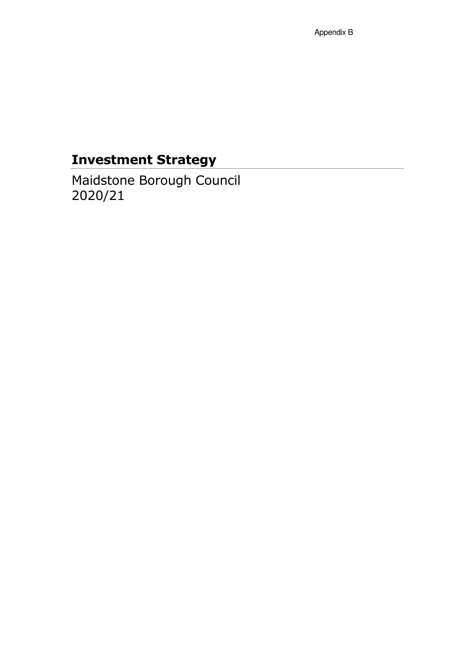# Investment Strategy

Maidstone Borough Council 2020/21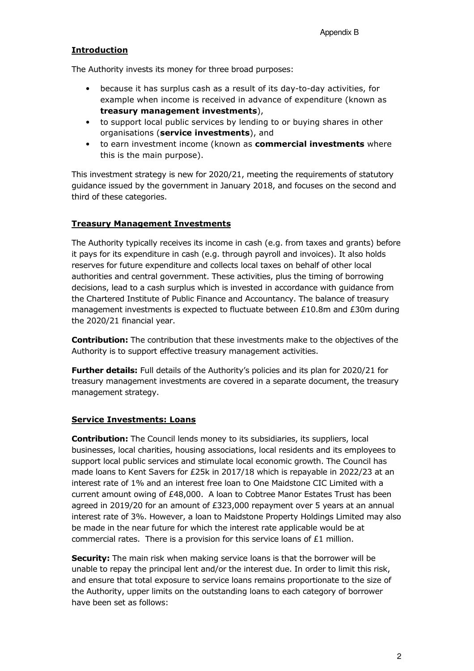## **Introduction**

The Authority invests its money for three broad purposes:

- because it has surplus cash as a result of its day-to-day activities, for example when income is received in advance of expenditure (known as treasury management investments),
- to support local public services by lending to or buying shares in other organisations (service investments), and
- to earn investment income (known as commercial investments where this is the main purpose).

This investment strategy is new for 2020/21, meeting the requirements of statutory guidance issued by the government in January 2018, and focuses on the second and third of these categories.

## Treasury Management Investments

The Authority typically receives its income in cash (e.g. from taxes and grants) before it pays for its expenditure in cash (e.g. through payroll and invoices). It also holds reserves for future expenditure and collects local taxes on behalf of other local authorities and central government. These activities, plus the timing of borrowing decisions, lead to a cash surplus which is invested in accordance with guidance from the Chartered Institute of Public Finance and Accountancy. The balance of treasury management investments is expected to fluctuate between £10.8m and £30m during the 2020/21 financial year.

Contribution: The contribution that these investments make to the objectives of the Authority is to support effective treasury management activities.

Further details: Full details of the Authority's policies and its plan for 2020/21 for treasury management investments are covered in a separate document, the treasury management strategy.

## Service Investments: Loans

**Contribution:** The Council lends money to its subsidiaries, its suppliers, local businesses, local charities, housing associations, local residents and its employees to support local public services and stimulate local economic growth. The Council has made loans to Kent Savers for £25k in 2017/18 which is repayable in 2022/23 at an interest rate of 1% and an interest free loan to One Maidstone CIC Limited with a current amount owing of £48,000. A loan to Cobtree Manor Estates Trust has been agreed in 2019/20 for an amount of £323,000 repayment over 5 years at an annual interest rate of 3%. However, a loan to Maidstone Property Holdings Limited may also be made in the near future for which the interest rate applicable would be at commercial rates. There is a provision for this service loans of  $£1$  million.

Security: The main risk when making service loans is that the borrower will be unable to repay the principal lent and/or the interest due. In order to limit this risk, and ensure that total exposure to service loans remains proportionate to the size of the Authority, upper limits on the outstanding loans to each category of borrower have been set as follows: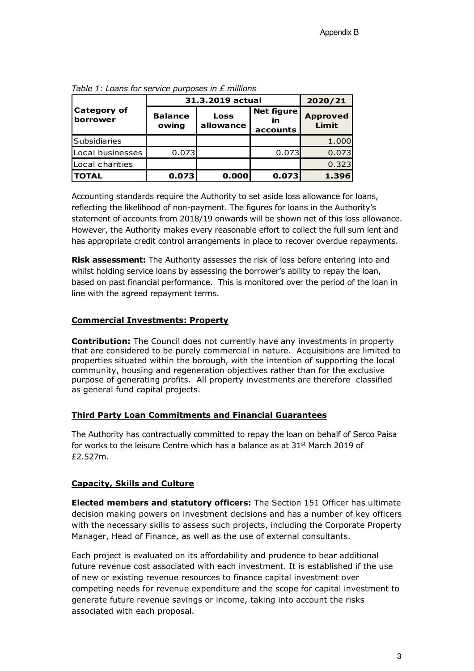|                                | 31.3.2019 actual        | 2020/21                  |                                     |                          |
|--------------------------------|-------------------------|--------------------------|-------------------------------------|--------------------------|
| <b>Category of</b><br>borrower | <b>Balance</b><br>owing | <b>Loss</b><br>allowance | <b>Net figure</b><br>in<br>accounts | <b>Approved</b><br>Limit |
| <b>Subsidiaries</b>            |                         |                          |                                     | 1.000                    |
| Local businesses               | 0.073                   |                          | 0.073                               | 0.073                    |
| Local charities                |                         |                          |                                     | 0.323                    |
| <b>TOTAL</b>                   | 0.073                   | 0.000                    | 0.073                               | 1.396                    |

Table 1: Loans for service purposes in  $E$  millions

Accounting standards require the Authority to set aside loss allowance for loans, reflecting the likelihood of non-payment. The figures for loans in the Authority's statement of accounts from 2018/19 onwards will be shown net of this loss allowance. However, the Authority makes every reasonable effort to collect the full sum lent and has appropriate credit control arrangements in place to recover overdue repayments.

**Risk assessment:** The Authority assesses the risk of loss before entering into and whilst holding service loans by assessing the borrower's ability to repay the loan, based on past financial performance. This is monitored over the period of the loan in line with the agreed repayment terms.

## Commercial Investments: Property

**Contribution:** The Council does not currently have any investments in property that are considered to be purely commercial in nature. Acquisitions are limited to properties situated within the borough, with the intention of supporting the local community, housing and regeneration objectives rather than for the exclusive purpose of generating profits. All property investments are therefore classified as general fund capital projects.

## Third Party Loan Commitments and Financial Guarantees

The Authority has contractually committed to repay the loan on behalf of Serco Paisa for works to the leisure Centre which has a balance as at  $31<sup>st</sup>$  March 2019 of £2.527m.

## Capacity, Skills and Culture

Elected members and statutory officers: The Section 151 Officer has ultimate decision making powers on investment decisions and has a number of key officers with the necessary skills to assess such projects, including the Corporate Property Manager, Head of Finance, as well as the use of external consultants.

Each project is evaluated on its affordability and prudence to bear additional future revenue cost associated with each investment. It is established if the use of new or existing revenue resources to finance capital investment over competing needs for revenue expenditure and the scope for capital investment to generate future revenue savings or income, taking into account the risks associated with each proposal.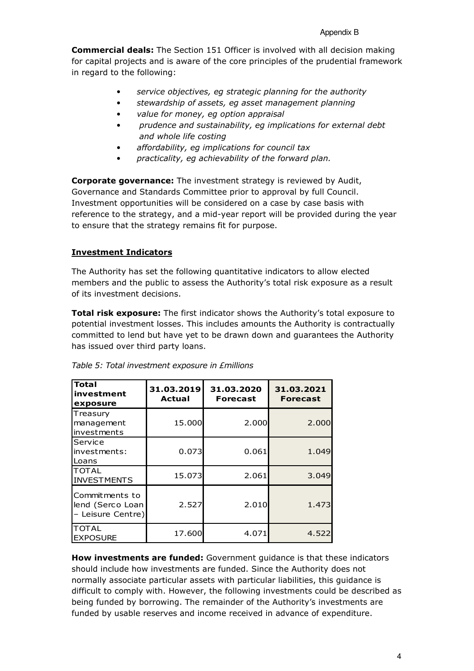Commercial deals: The Section 151 Officer is involved with all decision making for capital projects and is aware of the core principles of the prudential framework in regard to the following:

- service objectives, eg strategic planning for the authority
- stewardship of assets, eg asset management planning
- value for money, eg option appraisal
- prudence and sustainability, eg implications for external debt and whole life costing
- affordability, eg implications for council tax
- practicality, eg achievability of the forward plan.

Corporate governance: The investment strategy is reviewed by Audit, Governance and Standards Committee prior to approval by full Council. Investment opportunities will be considered on a case by case basis with reference to the strategy, and a mid-year report will be provided during the year to ensure that the strategy remains fit for purpose.

## Investment Indicators

The Authority has set the following quantitative indicators to allow elected members and the public to assess the Authority's total risk exposure as a result of its investment decisions.

**Total risk exposure:** The first indicator shows the Authority's total exposure to potential investment losses. This includes amounts the Authority is contractually committed to lend but have yet to be drawn down and guarantees the Authority has issued over third party loans.

| <b>Total</b><br>investment<br>exposure                  | 31.03.2019<br><b>Actual</b> | 31.03.2020<br><b>Forecast</b> | 31.03.2021<br><b>Forecast</b> |
|---------------------------------------------------------|-----------------------------|-------------------------------|-------------------------------|
| Treasury<br>management<br>investments                   | 15.000                      | 2.000                         | 2.000                         |
| Service<br>investments:<br>Loans                        | 0.073                       | 0.061                         | 1.049                         |
| <b>TOTAL</b><br><b>INVESTMENTS</b>                      | 15.073                      | 2.061                         | 3.049                         |
| Commitments to<br>lend (Serco Loan<br>- Leisure Centre) | 2.527                       | 2.010                         | 1.473                         |
| <b>TOTAL</b><br><b>EXPOSURE</b>                         | 17.600                      | 4.071                         | 4.522                         |

How investments are funded: Government guidance is that these indicators should include how investments are funded. Since the Authority does not normally associate particular assets with particular liabilities, this guidance is difficult to comply with. However, the following investments could be described as being funded by borrowing. The remainder of the Authority's investments are funded by usable reserves and income received in advance of expenditure.